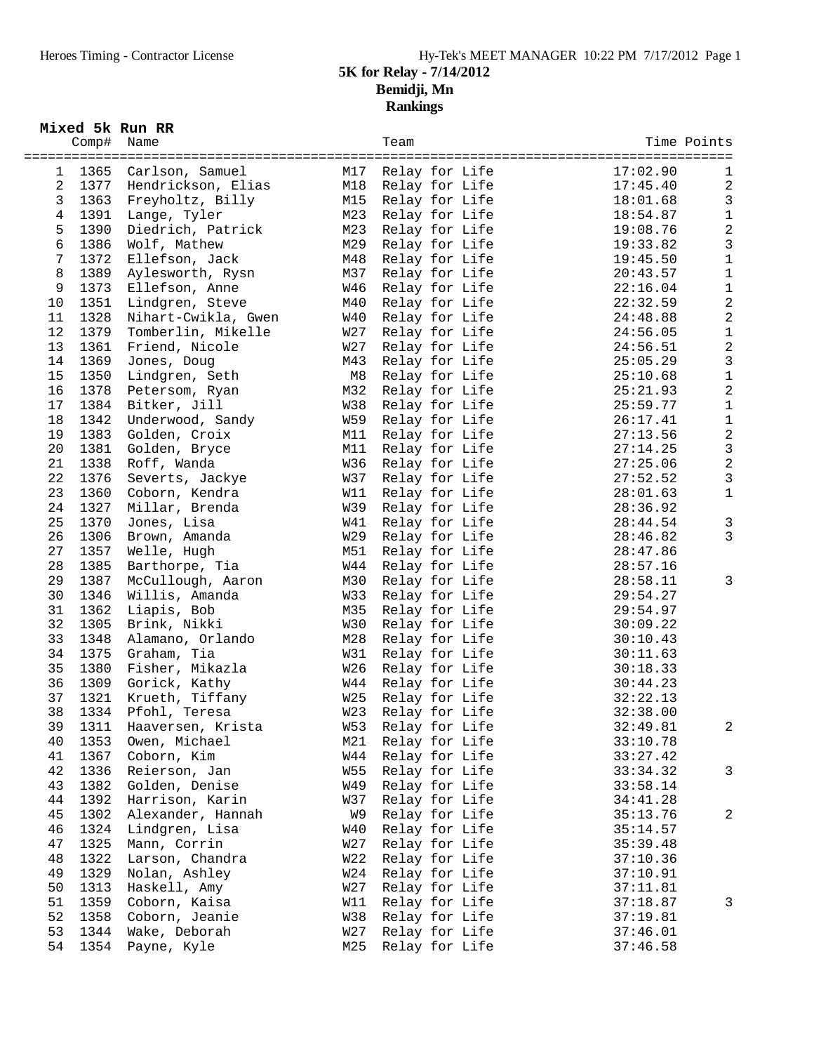## **5K for Relay - 7/14/2012 Bemidji, Mn Rankings**

| Mixed 5k Run RR |  |  |  |  |
|-----------------|--|--|--|--|
|-----------------|--|--|--|--|

|                | Comp# Name |                         |            | Team           | Time Points |                         |
|----------------|------------|-------------------------|------------|----------------|-------------|-------------------------|
|                |            |                         |            |                |             |                         |
| 1              | 1365       | Carlson, Samuel         | M17        | Relay for Life | 17:02.90    | 1                       |
| $\overline{2}$ |            | 1377 Hendrickson, Elias | M18        | Relay for Life | 17:45.40    | $\overline{c}$          |
| $\mathsf{3}$   | 1363       | Freyholtz, Billy        | M15        | Relay for Life | 18:01.68    | $\mathbf{3}$            |
| $\overline{4}$ | 1391       | Lange, Tyler            | M23        | Relay for Life | 18:54.87    | $1\,$                   |
| 5              | 1390       | Diedrich, Patrick       | M23        | Relay for Life | 19:08.76    | $\overline{c}$          |
| 6              |            |                         |            |                |             | 3                       |
|                | 1386       | Wolf, Mathew            | M29        | Relay for Life | 19:33.82    |                         |
| $\overline{7}$ | 1372       | Ellefson, Jack          | M48        | Relay for Life | 19:45.50    | 1                       |
| 8              | 1389       | Aylesworth, Rysn        | M37        | Relay for Life | 20:43.57    | $\mathbf 1$             |
| 9              | 1373       | Ellefson, Anne          | W46        | Relay for Life | 22:16.04    | $\mathbf 1$             |
| 10             | 1351       | Lindgren, Steve         | M40        | Relay for Life | 22:32.59    | $\overline{c}$          |
| 11             | 1328       | Nihart-Cwikla, Gwen     | W40        | Relay for Life | 24:48.88    | $\overline{c}$          |
| 12             | 1379       | Tomberlin, Mikelle      | W27        | Relay for Life | 24:56.05    | $\mathbf 1$             |
| 13             | 1361       | Friend, Nicole          | W27        | Relay for Life | 24:56.51    | $\overline{c}$          |
| 14             | 1369       | Jones, Doug             | M43        | Relay for Life | 25:05.29    | $\mathbf{3}$            |
| 15             | 1350       | Lindgren, Seth          | M8         | Relay for Life | 25:10.68    | $\mathbf 1$             |
| 16             | 1378       | Petersom, Ryan          | M32        | Relay for Life | 25:21.93    | $\overline{c}$          |
| 17             | 1384       | Bitker, Jill            | W38        | Relay for Life | 25:59.77    | $\mathbf 1$             |
| 18             | 1342       | Underwood, Sandy        | W59        | Relay for Life | 26:17.41    | 1                       |
| 19             | 1383       | Golden, Croix           | M11        | Relay for Life | 27:13.56    | $\overline{c}$          |
| 20             | 1381       | Golden, Bryce           | M11        | Relay for Life | 27:14.25    | $\mathbf{3}$            |
| 21             | 1338       | Roff, Wanda             | W36        | Relay for Life | 27:25.06    | $\overline{c}$          |
| 22             | 1376       | Severts, Jackye         | W37        | Relay for Life | 27:52.52    | 3                       |
| 23             | 1360       | Coborn, Kendra          | W11        | Relay for Life | 28:01.63    | $1\,$                   |
| 24             | 1327       | Millar, Brenda          | W39        | Relay for Life | 28:36.92    |                         |
| 25             | 1370       | Jones, Lisa             | W41        | Relay for Life | 28:44.54    | $\mathbf{3}$            |
| 26             | 1306       | Brown, Amanda           | W29        | Relay for Life | 28:46.82    | 3                       |
|                |            |                         |            |                |             |                         |
| 27             | 1357       | Welle, Hugh             | M51        | Relay for Life | 28:47.86    |                         |
| 28             | 1385       | Barthorpe, Tia          | W44        | Relay for Life | 28:57.16    |                         |
| 29             | 1387       | McCullough, Aaron       | M30        | Relay for Life | 28:58.11    | 3                       |
| 30             | 1346       | Willis, Amanda          | W33        | Relay for Life | 29:54.27    |                         |
| 31             | 1362       | Liapis, Bob             | M35        | Relay for Life | 29:54.97    |                         |
| 32             | 1305       | Brink, Nikki            | W30        | Relay for Life | 30:09.22    |                         |
| 33             | 1348       | Alamano, Orlando        | M28        | Relay for Life | 30:10.43    |                         |
| 34             | 1375       | Graham, Tia             | W31        | Relay for Life | 30:11.63    |                         |
| 35             | 1380       | Fisher, Mikazla         | W26        | Relay for Life | 30:18.33    |                         |
| 36             | 1309       | Gorick, Kathy           | W44        | Relay for Life | 30:44.23    |                         |
| 37             | 1321       | Krueth, Tiffany         | W25        | Relay for Life | 32:22.13    |                         |
| 38             | 1334       | Pfohl, Teresa           | W23        | Relay for Life | 32:38.00    |                         |
| 39             | 1311       | Haaversen, Krista       | <b>W53</b> | Relay for Life | 32:49.81    | 2                       |
| 40             | 1353       | Owen, Michael           | M21        | Relay for Life | 33:10.78    |                         |
| 41             | 1367       | Coborn, Kim             | W44        | Relay for Life | 33:27.42    |                         |
| 42             | 1336       | Reierson, Jan           | W55        | Relay for Life | 33:34.32    | 3                       |
| 43             | 1382       | Golden, Denise          | W49        | Relay for Life | 33:58.14    |                         |
| 44             | 1392       | Harrison, Karin         | W37        | Relay for Life | 34:41.28    |                         |
| 45             | 1302       | Alexander, Hannah       | W9         | Relay for Life | 35:13.76    | $\overline{\mathbf{c}}$ |
| 46             | 1324       | Lindgren, Lisa          | W40        | Relay for Life | 35:14.57    |                         |
| 47             | 1325       | Mann, Corrin            | W27        | Relay for Life | 35:39.48    |                         |
| 48             | 1322       | Larson, Chandra         | W22        | Relay for Life | 37:10.36    |                         |
| 49             | 1329       | Nolan, Ashley           | W24        | Relay for Life | 37:10.91    |                         |
| 50             | 1313       | Haskell, Amy            | W27        | Relay for Life | 37:11.81    |                         |
| 51             | 1359       | Coborn, Kaisa           | W11        | Relay for Life | 37:18.87    | 3                       |
| 52             | 1358       | Coborn, Jeanie          | W38        | Relay for Life | 37:19.81    |                         |
| 53             | 1344       | Wake, Deborah           | W27        | Relay for Life | 37:46.01    |                         |
|                |            |                         |            |                |             |                         |
| 54             | 1354       | Payne, Kyle             | M25        | Relay for Life | 37:46.58    |                         |